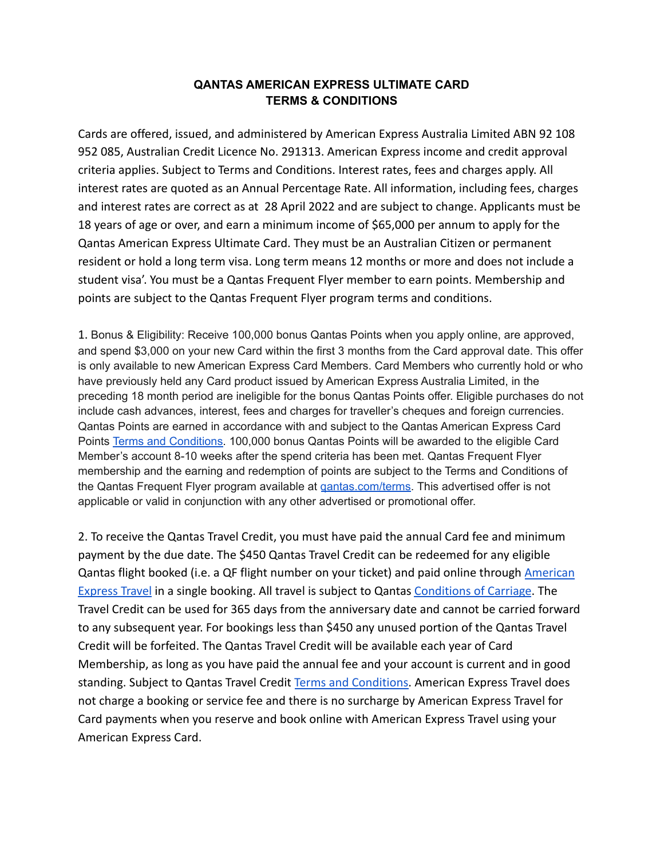## **QANTAS AMERICAN EXPRESS ULTIMATE CARD TERMS & CONDITIONS**

Cards are offered, issued, and administered by American Express Australia Limited ABN 92 108 952 085, Australian Credit Licence No. 291313. American Express income and credit approval criteria applies. Subject to Terms and Conditions. Interest rates, fees and charges apply. All interest rates are quoted as an Annual Percentage Rate. All information, including fees, charges and interest rates are correct as at 28 April 2022 and are subject to change. Applicants must be 18 years of age or over, and earn a minimum income of \$65,000 per annum to apply for the Qantas American Express Ultimate Card. They must be an Australian Citizen or permanent resident or hold a long term visa. Long term means 12 months or more and does not include a student visa'. You must be a Qantas Frequent Flyer member to earn points. Membership and points are subject to the Qantas Frequent Flyer program terms and conditions.

1. Bonus & Eligibility: Receive 100,000 bonus Qantas Points when you apply online, are approved, and spend \$3,000 on your new Card within the first 3 months from the Card approval date. This offer is only available to new American Express Card Members. Card Members who currently hold or who have previously held any Card product issued by American Express Australia Limited, in the preceding 18 month period are ineligible for the bonus Qantas Points offer. Eligible purchases do not include cash advances, interest, fees and charges for traveller's cheques and foreign currencies. Qantas Points are earned in accordance with and subject to the Qantas American Express Card Points [Terms and Conditions.](https://icm.aexp-static.com/Internet/internationalcardshop/en_au/pdf/qantas-ultimate-card/qantas-points-terms-and-conditions.pdf) 100,000 bonus Qantas Points will be awarded to the eligible Card Member's account 8-10 weeks after the spend criteria has been met. Qantas Frequent Flyer membership and the earning and redemption of points are subject to the Terms and Conditions of the Qantas Frequent Flyer program available at [qantas.com/terms.](https://www.qantas.com/au/en/frequent-flyer/discover-and-join/terms-and-conditions.html) This advertised offer is not applicable or valid in conjunction with any other advertised or promotional offer.

2. To receive the Qantas Travel Credit, you must have paid the annual Card fee and minimum payment by the due date. The \$450 Qantas Travel Credit can be redeemed for any eligible Qantas flight booked (i.e. a QF flight number on your ticket) and paid online through [American](https://travel.americanexpress.com.au/apps/shopping/#/search/air) [Express Travel](https://travel.americanexpress.com.au/apps/shopping/#/search/air) in a single booking. All travel is subject to Qantas [Conditions of Carriage](https://www.qantas.com/au/en/book-a-trip/flights/conditions-of-carriage.html). The Travel Credit can be used for 365 days from the anniversary date and cannot be carried forward to any subsequent year. For bookings less than \$450 any unused portion of the Qantas Travel Credit will be forfeited. The Qantas Travel Credit will be available each year of Card Membership, as long as you have paid the annual fee and your account is current and in good standing. Subject to Qantas Travel Credit Terms and [Conditions.](https://icm.aexp-static.com/Internet/internationalcardshop/en_au/pdf/qantas-ultimate-card/pds_ultimatecard.pdf) American Express Travel does not charge a booking or service fee and there is no surcharge by American Express Travel for Card payments when you reserve and book online with American Express Travel using your American Express Card.